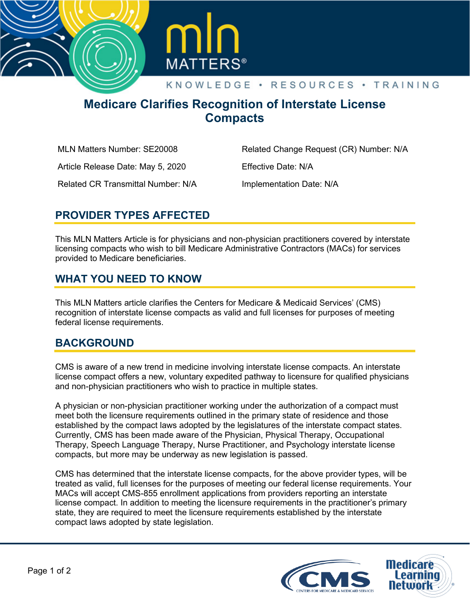



# **Medicare Clarifies Recognition of Interstate License Compacts**

MLN Matters Number: SE20008

Related Change Request (CR) Number: N/A

Article Release Date: May 5, 2020

Effective Date: N/A

Related CR Transmittal Number: N/A

Implementation Date: N/A

### **PROVIDER TYPES AFFECTED**

This MLN Matters Article is for physicians and non-physician practitioners covered by interstate licensing compacts who wish to bill Medicare Administrative Contractors (MACs) for services provided to Medicare beneficiaries.

### **WHAT YOU NEED TO KNOW**

This MLN Matters article clarifies the Centers for Medicare & Medicaid Services' (CMS) recognition of interstate license compacts as valid and full licenses for purposes of meeting federal license requirements.

## **BACKGROUND**

CMS is aware of a new trend in medicine involving interstate license compacts. An interstate license compact offers a new, voluntary expedited pathway to licensure for qualified physicians and non-physician practitioners who wish to practice in multiple states.

A physician or non-physician practitioner working under the authorization of a compact must meet both the licensure requirements outlined in the primary state of residence and those established by the compact laws adopted by the legislatures of the interstate compact states. Currently, CMS has been made aware of the Physician, Physical Therapy, Occupational Therapy, Speech Language Therapy, Nurse Practitioner, and Psychology interstate license compacts, but more may be underway as new legislation is passed.

CMS has determined that the interstate license compacts, for the above provider types, will be treated as valid, full licenses for the purposes of meeting our federal license requirements. Your MACs will accept CMS-855 enrollment applications from providers reporting an interstate license compact. In addition to meeting the licensure requirements in the practitioner's primary state, they are required to meet the licensure requirements established by the interstate compact laws adopted by state legislation.